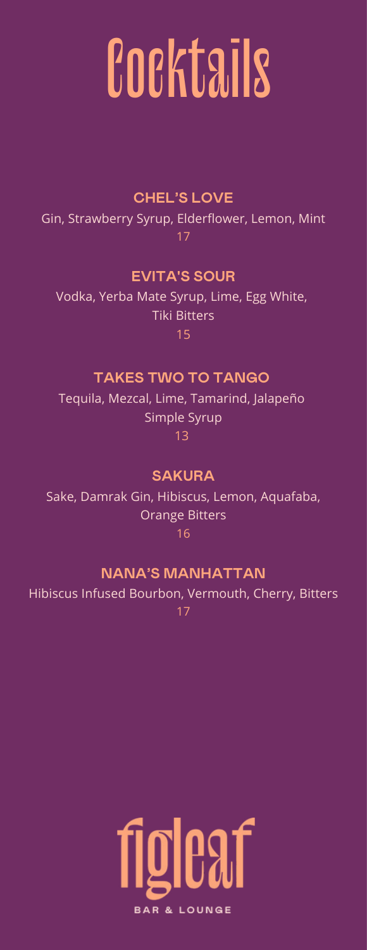# **Cocktails**

#### **CHEL'S LOVE**

 Gin, Strawberry Syrup, Elderflower, Lemon, Mint 17

#### **EVITA'S SOUR**

 Vodka, Yerba Mate Syrup, Lime, Egg White, Tiki Bitters 15

#### **TAKES TWO TO TANGO**

 Tequila, Mezcal, Lime, Tamarind, Jalapeño Simple Syrup 13

#### **SAKURA**

 Sake, Damrak Gin, Hibiscus, Lemon, Aquafaba, Orange Bitters 16

#### **NANA'S MANHATTAN**

 Hibiscus Infused Bourbon, Vermouth, Cherry, Bitters 17

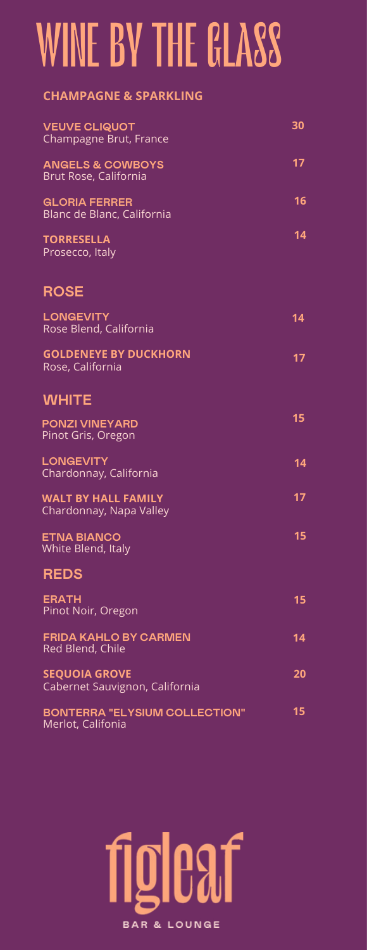### WINE BY THE GLASS

#### **CHAMPAGNE & SPARKLING**

| <b>VEUVE CLIQUOT</b><br>Champagne Brut, France            | 30 |
|-----------------------------------------------------------|----|
| <b>ANGELS &amp; COWBOYS</b><br>Brut Rose, California      | 17 |
| <b>GLORIA FERRER</b><br>Blanc de Blanc, California        | 16 |
| <b>TORRESELLA</b><br>Prosecco, Italy                      | 14 |
| <b>ROSE</b>                                               |    |
| <b>LONGEVITY</b><br>Rose Blend, California                | 14 |
| <b>GOLDENEYE BY DUCKHORN</b><br>Rose, California          | 17 |
| <b>WHITE</b>                                              |    |
| <b>PONZI VINEYARD</b><br>Pinot Gris, Oregon               | 15 |
| <b>LONGEVITY</b><br>Chardonnay, California                | 14 |
| <b>WALT BY HALL FAMILY</b><br>Chardonnay, Napa Valley     | 17 |
| <b>ETNA BIANCO</b><br>White Blend, Italy                  | 15 |
| <b>REDS</b>                                               |    |
| <b>ERATH</b><br>Pinot Noir, Oregon                        | 15 |
| <b>FRIDA KAHLO BY CARMEN</b><br>Red Blend, Chile          | 14 |
| <b>SEQUOIA GROVE</b><br>Cabernet Sauvignon, California    | 20 |
| <b>BONTERRA "ELYSIUM COLLECTION"</b><br>Merlot, Califonia | 15 |

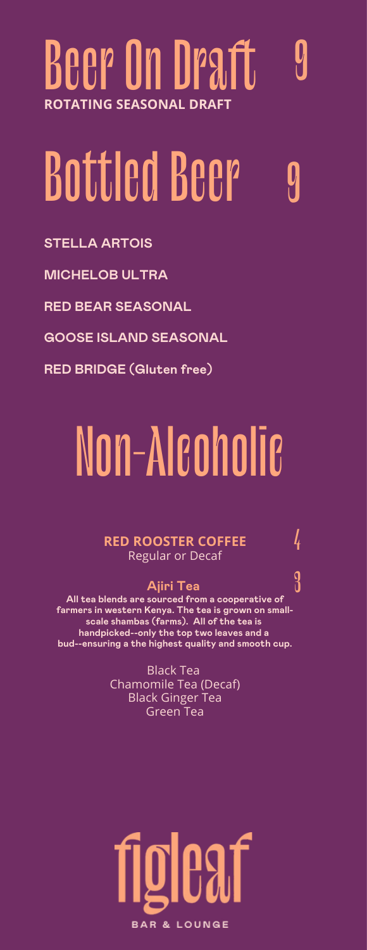### Beer On Draft 9 **ROTATING SEASONAL DRAFT**

### Bottled Beer 9

**STELLA ARTOIS**

**MICHELOB ULTRA**

**RED BEAR SEASONAL**

**GOOSE ISLAND SEASONAL**

**RED BRIDGE (Gluten free)**

### Non-Alcoholic

#### **RED ROOSTER COFFEE** 4 Regular or Decaf

#### **Ajiri Tea**

 **farmers in western Kenya. The tea is grown on small- scale shambas (farms). All of the tea is Ajiri Tea** 3 **All tea blends are sourced from a cooperative of handpicked--only the top two leaves and a bud--ensuring a the highest quality and smooth cup.**

> Black Tea Chamomile Tea (Decaf) Black Ginger Tea Green Tea